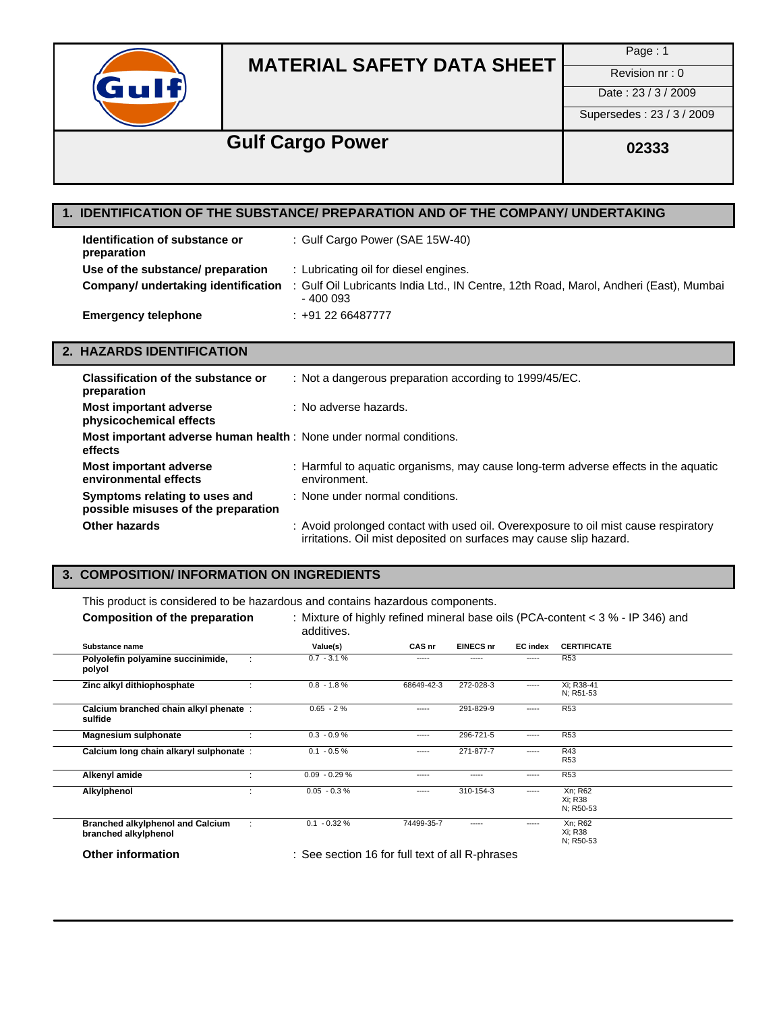

Page : 1

Date: 23 / 3 / 2009

Supersedes : 23 / 3 / 2009

## **Gulf Cargo Power** 02333

## **1. IDENTIFICATION OF THE SUBSTANCE/ PREPARATION AND OF THE COMPANY/ UNDERTAKING**

| Identification of substance or<br>preparation | : Gulf Cargo Power (SAE 15W-40)                                                                    |
|-----------------------------------------------|----------------------------------------------------------------------------------------------------|
| Use of the substance/ preparation             | : Lubricating oil for diesel engines.                                                              |
| Company/ undertaking identification           | : Gulf Oil Lubricants India Ltd., IN Centre, 12th Road, Marol, Andheri (East), Mumbai<br>$-400003$ |
| <b>Emergency telephone</b>                    | $: +912266487777$                                                                                  |

#### **2. HAZARDS IDENTIFICATION**

| Classification of the substance or<br>preparation                                     | : Not a dangerous preparation according to 1999/45/EC.                                                                                                    |
|---------------------------------------------------------------------------------------|-----------------------------------------------------------------------------------------------------------------------------------------------------------|
| Most important adverse<br>physicochemical effects                                     | : No adverse hazards.                                                                                                                                     |
| <b>Most important adverse human health</b> : None under normal conditions.<br>effects |                                                                                                                                                           |
| <b>Most important adverse</b><br>environmental effects                                | : Harmful to aquatic organisms, may cause long-term adverse effects in the aquatic<br>environment.                                                        |
| Symptoms relating to uses and<br>possible misuses of the preparation                  | : None under normal conditions.                                                                                                                           |
| Other hazards                                                                         | : Avoid prolonged contact with used oil. Overexposure to oil mist cause respiratory<br>irritations. Oil mist deposited on surfaces may cause slip hazard. |

### **3. COMPOSITION/ INFORMATION ON INGREDIENTS**

This product is considered to be hazardous and contains hazardous components.

| <b>Composition of the preparation</b>                           | additives.                                      |            |                  |                 | : Mixture of highly refined mineral base oils (PCA-content $<$ 3 % - IP 346) and |
|-----------------------------------------------------------------|-------------------------------------------------|------------|------------------|-----------------|----------------------------------------------------------------------------------|
| Substance name                                                  | Value(s)                                        | CAS nr     | <b>EINECS nr</b> | <b>EC</b> index | <b>CERTIFICATE</b>                                                               |
| Polyolefin polyamine succinimide,<br>polyol                     | $0.7 - 3.1 %$                                   | -----      | -----            | -----           | <b>R53</b>                                                                       |
| Zinc alkyl dithiophosphate                                      | $0.8 - 1.8 \%$                                  | 68649-42-3 | 272-028-3        | -----           | Xi; R38-41<br>N; R51-53                                                          |
| Calcium branched chain alkyl phenate:<br>sulfide                | $0.65 - 2%$                                     | -----      | 291-829-9        | -----           | <b>R53</b>                                                                       |
| <b>Magnesium sulphonate</b>                                     | $0.3 - 0.9 %$                                   | -----      | 296-721-5        | -----           | <b>R53</b>                                                                       |
| Calcium long chain alkaryl sulphonate :                         | $0.1 - 0.5 \%$                                  | -----      | 271-877-7        | -----           | R43<br><b>R53</b>                                                                |
| Alkenyl amide                                                   | $0.09 - 0.29 %$                                 | -----      | -----            | -----           | <b>R53</b>                                                                       |
| Alkylphenol                                                     | $0.05 - 0.3 %$                                  | -----      | 310-154-3        | -----           | Xn; R62<br>Xi: R38<br>N; R50-53                                                  |
| <b>Branched alkylphenol and Calcium</b><br>branched alkylphenol | $0.1 - 0.32 %$                                  | 74499-35-7 | -----            | -----           | Xn; R62<br>Xi: R38<br>N; R50-53                                                  |
| <b>Other information</b>                                        | : See section 16 for full text of all R-phrases |            |                  |                 |                                                                                  |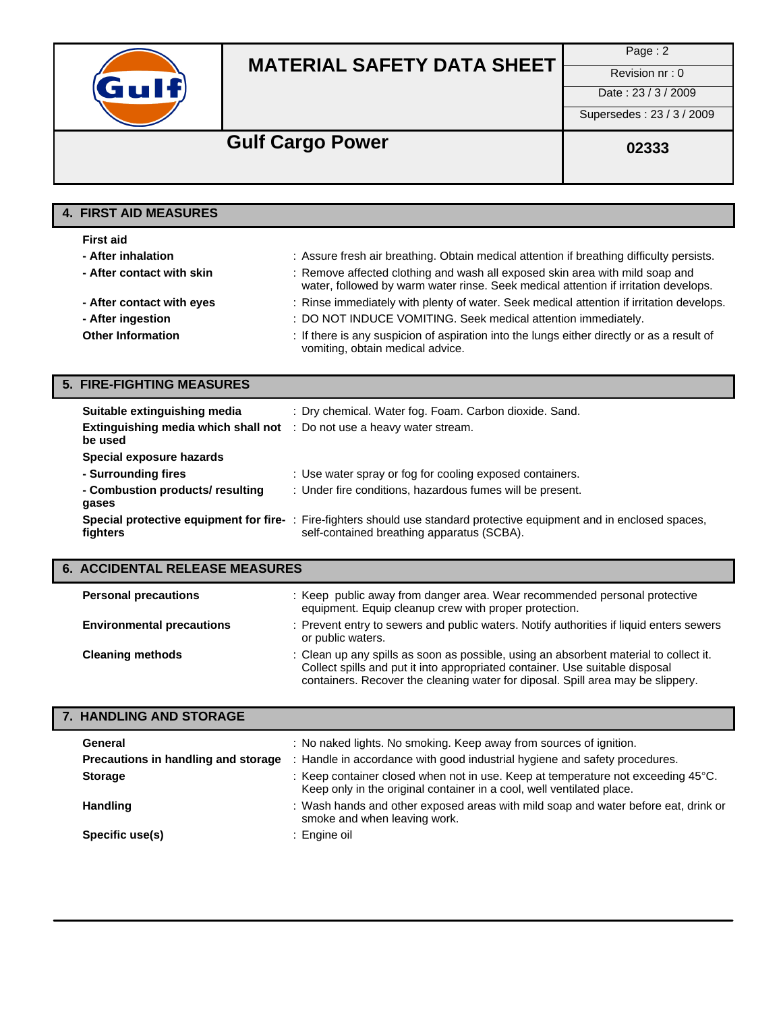

Page : 2

Date: 23/3/2009

Supersedes : 23 / 3 / 2009

## **Gulf Cargo Power** 02333

### **4. FIRST AID MEASURES**

| <b>First aid</b>          |                                                                                                                                                                     |
|---------------------------|---------------------------------------------------------------------------------------------------------------------------------------------------------------------|
| - After inhalation        | : Assure fresh air breathing. Obtain medical attention if breathing difficulty persists.                                                                            |
| - After contact with skin | : Remove affected clothing and wash all exposed skin area with mild soap and<br>water, followed by warm water rinse. Seek medical attention if irritation develops. |
| - After contact with eyes | : Rinse immediately with plenty of water. Seek medical attention if irritation develops.                                                                            |
| - After ingestion         | : DO NOT INDUCE VOMITING. Seek medical attention immediately.                                                                                                       |
| <b>Other Information</b>  | : If there is any suspicion of aspiration into the lungs either directly or as a result of<br>vomiting, obtain medical advice.                                      |

## **5. FIRE-FIGHTING MEASURES**

| Suitable extinguishing media<br><b>Extinguishing media which shall not</b> : Do not use a heavy water stream.<br>be used | : Dry chemical. Water fog. Foam. Carbon dioxide. Sand.                                                                                                               |
|--------------------------------------------------------------------------------------------------------------------------|----------------------------------------------------------------------------------------------------------------------------------------------------------------------|
| Special exposure hazards                                                                                                 |                                                                                                                                                                      |
| - Surrounding fires                                                                                                      | : Use water spray or fog for cooling exposed containers.                                                                                                             |
| - Combustion products/ resulting<br>gases                                                                                | : Under fire conditions, hazardous fumes will be present.                                                                                                            |
| fighters                                                                                                                 | Special protective equipment for fire-: Fire-fighters should use standard protective equipment and in enclosed spaces,<br>self-contained breathing apparatus (SCBA). |

## **6. ACCIDENTAL RELEASE MEASURES**

| <b>Personal precautions</b>      | : Keep public away from danger area. Wear recommended personal protective<br>equipment. Equip cleanup crew with proper protection.                                                                                                                       |
|----------------------------------|----------------------------------------------------------------------------------------------------------------------------------------------------------------------------------------------------------------------------------------------------------|
| <b>Environmental precautions</b> | : Prevent entry to sewers and public waters. Notify authorities if liquid enters sewers<br>or public waters.                                                                                                                                             |
| <b>Cleaning methods</b>          | : Clean up any spills as soon as possible, using an absorbent material to collect it.<br>Collect spills and put it into appropriated container. Use suitable disposal<br>containers. Recover the cleaning water for diposal. Spill area may be slippery. |

### **7. HANDLING AND STORAGE**

| General<br>Precautions in handling and storage | : No naked lights. No smoking. Keep away from sources of ignition.<br>: Handle in accordance with good industrial hygiene and safety procedures.                    |
|------------------------------------------------|---------------------------------------------------------------------------------------------------------------------------------------------------------------------|
|                                                |                                                                                                                                                                     |
| <b>Storage</b>                                 | : Keep container closed when not in use. Keep at temperature not exceeding $45^{\circ}$ C.<br>Keep only in the original container in a cool, well ventilated place. |
| <b>Handling</b>                                | : Wash hands and other exposed areas with mild soap and water before eat, drink or<br>smoke and when leaving work.                                                  |
| Specific use(s)                                | : Engine oil                                                                                                                                                        |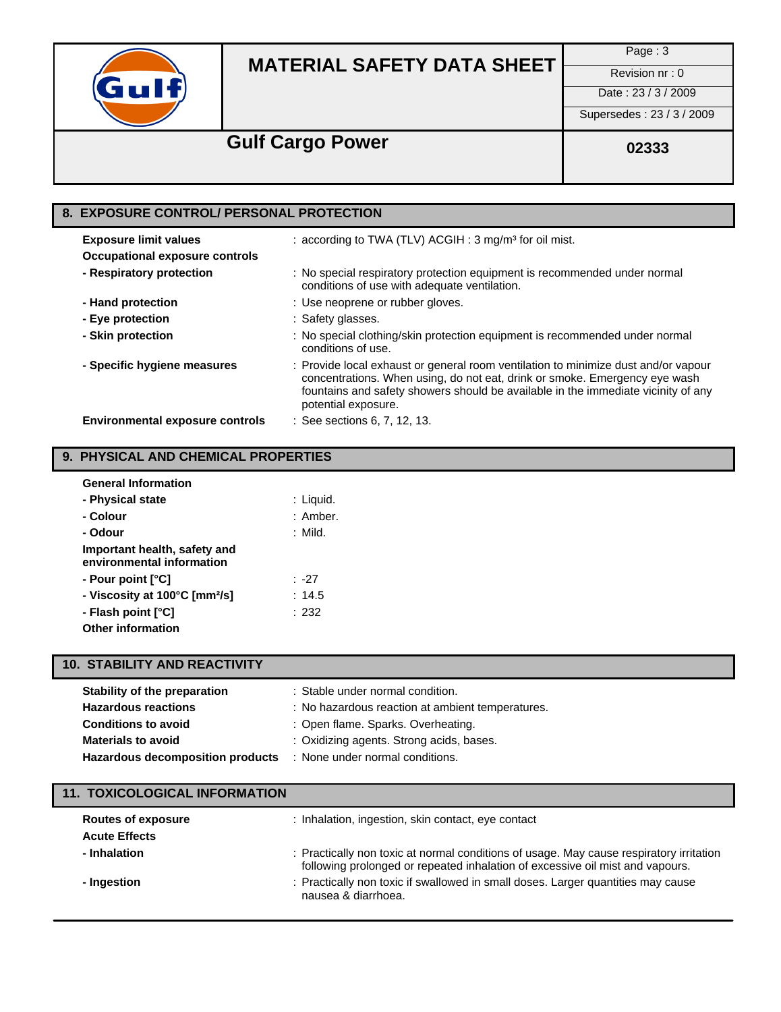

Page : 3

Date : 23 / 3 / 2009

Supersedes : 23 / 3 / 2009

## Gulf Cargo Power **Cargo Power Cargo Power Cargo Power Cargo 2333**

### **8. EXPOSURE CONTROL/ PERSONAL PROTECTION Exposure limit values** : according to TWA (TLV) ACGIH : 3 mg/m<sup>3</sup> for oil mist. **Occupational exposure controls - Respiratory protection** : No special respiratory protection equipment is recommended under normal conditions of use with adequate ventilation. **- Hand protection** : Use neoprene or rubber gloves. **- Eye protection** : Safety glasses. **- Skin protection** : No special clothing/skin protection equipment is recommended under normal conditions of use. **- Specific hygiene measures** : Provide local exhaust or general room ventilation to minimize dust and/or vapour concentrations. When using, do not eat, drink or smoke. Emergency eye wash fountains and safety showers should be available in the immediate vicinity of any potential exposure. **Environmental exposure controls** : See sections 6, 7, 12, 13.

#### **9. PHYSICAL AND CHEMICAL PROPERTIES**

| <b>General Information</b>                                |           |
|-----------------------------------------------------------|-----------|
| - Physical state                                          | : Liquid. |
| - Colour                                                  | : Amber.  |
| - Odour                                                   | : Mild.   |
| Important health, safety and<br>environmental information |           |
| - Pour point [°C]                                         | : -27     |
| - Viscosity at 100°C [mm <sup>2</sup> /s]                 | : 14.5    |
| - Flash point [°C]                                        | : 232     |
| <b>Other information</b>                                  |           |

### **10. STABILITY AND REACTIVITY**

| Stability of the preparation     | : Stable under normal condition.                 |
|----------------------------------|--------------------------------------------------|
| <b>Hazardous reactions</b>       | : No hazardous reaction at ambient temperatures. |
| <b>Conditions to avoid</b>       | : Open flame. Sparks. Overheating.               |
| <b>Materials to avoid</b>        | : Oxidizing agents. Strong acids, bases.         |
| Hazardous decomposition products | : None under normal conditions.                  |

| <b>11. TOXICOLOGICAL INFORMATION</b>              |                                                                                                                                                                          |  |  |
|---------------------------------------------------|--------------------------------------------------------------------------------------------------------------------------------------------------------------------------|--|--|
| <b>Routes of exposure</b><br><b>Acute Effects</b> | : Inhalation, ingestion, skin contact, eye contact                                                                                                                       |  |  |
| - Inhalation                                      | : Practically non toxic at normal conditions of usage. May cause respiratory irritation<br>following prolonged or repeated inhalation of excessive oil mist and vapours. |  |  |
| - Ingestion                                       | : Practically non toxic if swallowed in small doses. Larger quantities may cause<br>nausea & diarrhoea.                                                                  |  |  |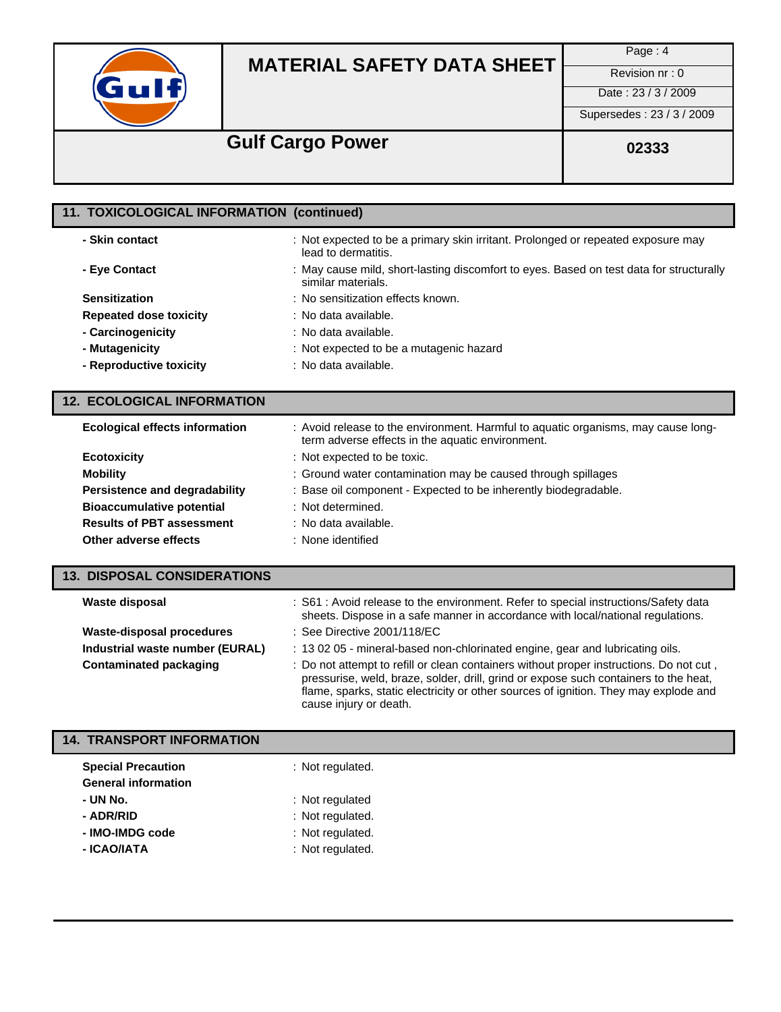

Page : 4

Date: 23 / 3 / 2009

Supersedes : 23 / 3 / 2009

# **Gulf Cargo Power** 02333

| 11. TOXICOLOGICAL INFORMATION (continued) |                                                                                                               |
|-------------------------------------------|---------------------------------------------------------------------------------------------------------------|
| - Skin contact                            | : Not expected to be a primary skin irritant. Prolonged or repeated exposure may<br>lead to dermatitis.       |
| - Eye Contact                             | : May cause mild, short-lasting discomfort to eyes. Based on test data for structurally<br>similar materials. |
| <b>Sensitization</b>                      | : No sensitization effects known.                                                                             |
| <b>Repeated dose toxicity</b>             | : No data available.                                                                                          |
| - Carcinogenicity                         | : No data available.                                                                                          |
| - Mutagenicity                            | : Not expected to be a mutagenic hazard                                                                       |
| - Reproductive toxicity                   | : No data available.                                                                                          |

#### **12. ECOLOGICAL INFORMATION**

| <b>Ecological effects information</b> | : Avoid release to the environment. Harmful to aquatic organisms, may cause long-<br>term adverse effects in the aquatic environment. |
|---------------------------------------|---------------------------------------------------------------------------------------------------------------------------------------|
| <b>Ecotoxicity</b>                    | : Not expected to be toxic.                                                                                                           |
| <b>Mobility</b>                       | : Ground water contamination may be caused through spillages                                                                          |
| Persistence and degradability         | : Base oil component - Expected to be inherently biodegradable.                                                                       |
| <b>Bioaccumulative potential</b>      | : Not determined.                                                                                                                     |
| <b>Results of PBT assessment</b>      | : No data available.                                                                                                                  |
| Other adverse effects                 | : None identified                                                                                                                     |

| <b>13. DISPOSAL CONSIDERATIONS</b> |                                                                                                                                                                        |
|------------------------------------|------------------------------------------------------------------------------------------------------------------------------------------------------------------------|
| Waste disposal                     | : S61 : Avoid release to the environment. Refer to special instructions/Safety data<br>sheets. Dispose in a safe manner in accordance with local/national regulations. |
| Waste-disposal procedures          | : See Directive $2001/118$ /EC                                                                                                                                         |
| Industrial waste number (EURAL)    | : 13 02 05 - mineral-based non-chlorinated engine, gear and lubricating oils.                                                                                          |

| $1.1$ $1.0000111$ $1.000001$ $1.00111$ $1.0001$ $1.0001$ |                                                                                         |
|----------------------------------------------------------|-----------------------------------------------------------------------------------------|
| Contaminated packaging                                   | : Do not attempt to refill or clean containers without proper instructions. Do not cut, |
|                                                          | pressurise, weld, braze, solder, drill, grind or expose such containers to the heat,    |
|                                                          | flame, sparks, static electricity or other sources of ignition. They may explode and    |
|                                                          | cause injury or death.                                                                  |

### **14. TRANSPORT INFORMATION**

| <b>Special Precaution</b>  | : Not regulated. |
|----------------------------|------------------|
| <b>General information</b> |                  |
| - UN No.                   | : Not regulated  |
| - ADR/RID                  | : Not regulated. |
| - IMO-IMDG code            | : Not regulated. |
| - ICAO/IATA                | : Not regulated. |